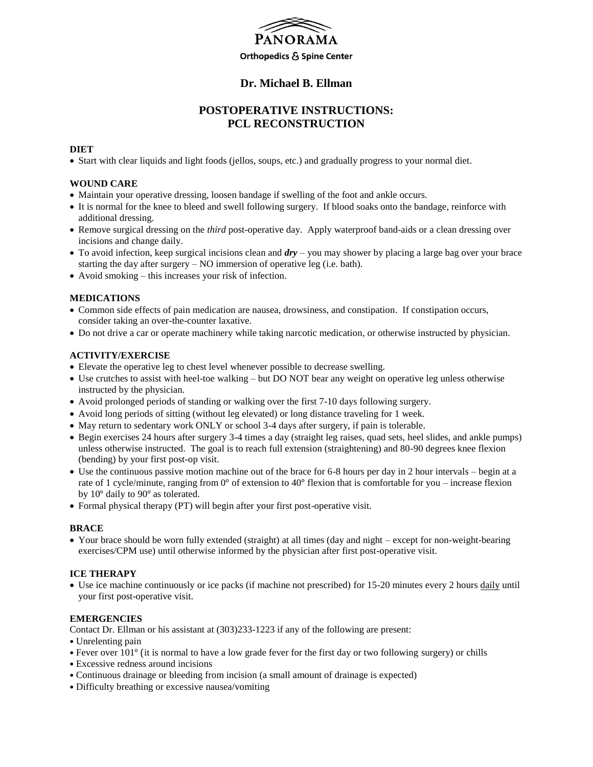

### **Dr. Michael B. Ellman**

## **POSTOPERATIVE INSTRUCTIONS: PCL RECONSTRUCTION**

#### **DIET**

Start with clear liquids and light foods (jellos, soups, etc.) and gradually progress to your normal diet.

#### **WOUND CARE**

- Maintain your operative dressing, loosen bandage if swelling of the foot and ankle occurs.
- It is normal for the knee to bleed and swell following surgery. If blood soaks onto the bandage, reinforce with additional dressing.
- Remove surgical dressing on the *third* post-operative day. Apply waterproof band-aids or a clean dressing over incisions and change daily.
- To avoid infection, keep surgical incisions clean and *dry* you may shower by placing a large bag over your brace starting the day after surgery – NO immersion of operative leg (i.e. bath).
- Avoid smoking this increases your risk of infection.

### **MEDICATIONS**

- Common side effects of pain medication are nausea, drowsiness, and constipation. If constipation occurs, consider taking an over-the-counter laxative.
- Do not drive a car or operate machinery while taking narcotic medication, or otherwise instructed by physician.

#### **ACTIVITY/EXERCISE**

- Elevate the operative leg to chest level whenever possible to decrease swelling.
- Use crutches to assist with heel-toe walking but DO NOT bear any weight on operative leg unless otherwise instructed by the physician.
- Avoid prolonged periods of standing or walking over the first 7-10 days following surgery.
- Avoid long periods of sitting (without leg elevated) or long distance traveling for 1 week.
- May return to sedentary work ONLY or school 3-4 days after surgery, if pain is tolerable.
- Begin exercises 24 hours after surgery 3-4 times a day (straight leg raises, quad sets, heel slides, and ankle pumps) unless otherwise instructed. The goal is to reach full extension (straightening) and 80-90 degrees knee flexion (bending) by your first post-op visit.
- Use the continuous passive motion machine out of the brace for 6-8 hours per day in 2 hour intervals begin at a rate of 1 cycle/minute, ranging from 0° of extension to 40° flexion that is comfortable for you – increase flexion by 10° daily to 90° as tolerated.
- Formal physical therapy (PT) will begin after your first post-operative visit.

#### **BRACE**

 Your brace should be worn fully extended (straight) at all times (day and night – except for non-weight-bearing exercises/CPM use) until otherwise informed by the physician after first post-operative visit.

#### **ICE THERAPY**

 Use ice machine continuously or ice packs (if machine not prescribed) for 15-20 minutes every 2 hours daily until your first post-operative visit.

#### **EMERGENCIES**

Contact Dr. Ellman or his assistant at (303)233-1223 if any of the following are present:

- Unrelenting pain
- Fever over 101° (it is normal to have a low grade fever for the first day or two following surgery) or chills
- Excessive redness around incisions
- Continuous drainage or bleeding from incision (a small amount of drainage is expected)
- Difficulty breathing or excessive nausea/vomiting